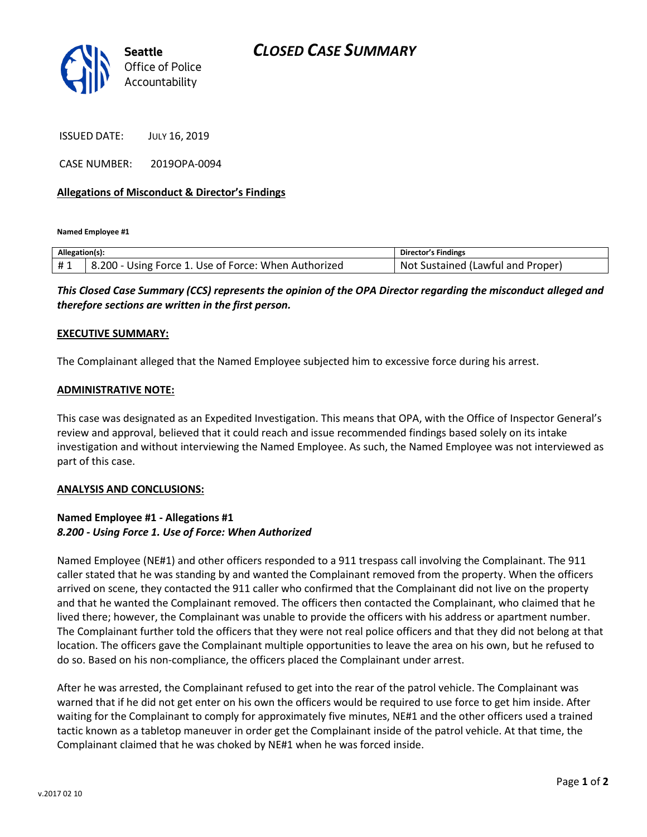

ISSUED DATE: JULY 16, 2019

CASE NUMBER: 2019OPA-0094

### **Allegations of Misconduct & Director's Findings**

**Named Employee #1**

| Allegation(s): |                                                       | Director's Findings                   |
|----------------|-------------------------------------------------------|---------------------------------------|
| #1             | 8.200<br>Using Force 1. Use of Force: When Authorized | Sustained (Lawful and Proper)<br>Not. |

*This Closed Case Summary (CCS) represents the opinion of the OPA Director regarding the misconduct alleged and therefore sections are written in the first person.* 

#### **EXECUTIVE SUMMARY:**

The Complainant alleged that the Named Employee subjected him to excessive force during his arrest.

#### **ADMINISTRATIVE NOTE:**

This case was designated as an Expedited Investigation. This means that OPA, with the Office of Inspector General's review and approval, believed that it could reach and issue recommended findings based solely on its intake investigation and without interviewing the Named Employee. As such, the Named Employee was not interviewed as part of this case.

#### **ANALYSIS AND CONCLUSIONS:**

## **Named Employee #1 - Allegations #1** *8.200 - Using Force 1. Use of Force: When Authorized*

Named Employee (NE#1) and other officers responded to a 911 trespass call involving the Complainant. The 911 caller stated that he was standing by and wanted the Complainant removed from the property. When the officers arrived on scene, they contacted the 911 caller who confirmed that the Complainant did not live on the property and that he wanted the Complainant removed. The officers then contacted the Complainant, who claimed that he lived there; however, the Complainant was unable to provide the officers with his address or apartment number. The Complainant further told the officers that they were not real police officers and that they did not belong at that location. The officers gave the Complainant multiple opportunities to leave the area on his own, but he refused to do so. Based on his non-compliance, the officers placed the Complainant under arrest.

After he was arrested, the Complainant refused to get into the rear of the patrol vehicle. The Complainant was warned that if he did not get enter on his own the officers would be required to use force to get him inside. After waiting for the Complainant to comply for approximately five minutes, NE#1 and the other officers used a trained tactic known as a tabletop maneuver in order get the Complainant inside of the patrol vehicle. At that time, the Complainant claimed that he was choked by NE#1 when he was forced inside.